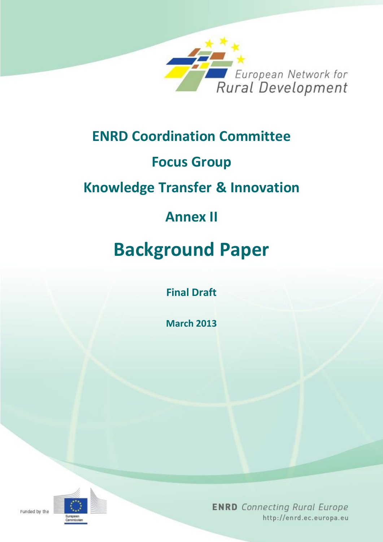

# **ENRD Coordination Committee**

# **Focus Group**

# **Knowledge Transfer & Innovation**

# **Annex II**

# **Background Paper**

**Final Draft** 

**March 2013**



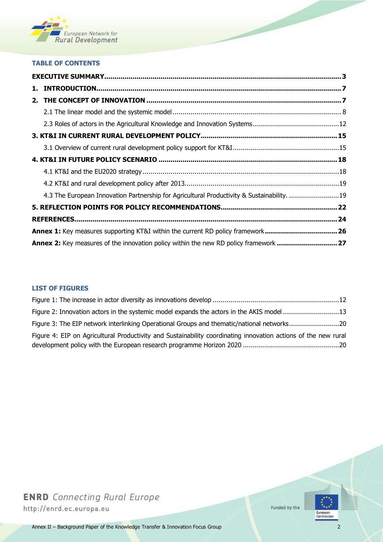

#### **TABLE OF CONTENTS**

| 4.3 The European Innovation Partnership for Agricultural Productivity & Sustainability. 19 |  |  |
|--------------------------------------------------------------------------------------------|--|--|
|                                                                                            |  |  |
|                                                                                            |  |  |
| Annex 1: Key measures supporting KT&I within the current RD policy framework 26            |  |  |
| Annex 2: Key measures of the innovation policy within the new RD policy framework  27      |  |  |

#### **LIST OF FIGURES**

| Figure 2: Innovation actors in the systemic model expands the actors in the AKIS model 13                      |  |  |
|----------------------------------------------------------------------------------------------------------------|--|--|
| Figure 3: The EIP network interlinking Operational Groups and thematic/national networks20                     |  |  |
| Figure 4: EIP on Agricultural Productivity and Sustainability coordinating innovation actions of the new rural |  |  |
|                                                                                                                |  |  |



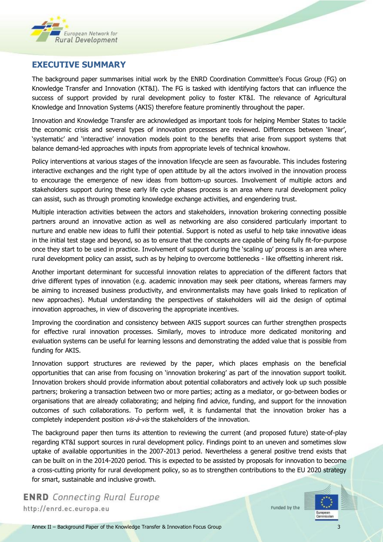

### **EXECUTIVE SUMMARY**

The background paper summarises initial work by the ENRD Coordination Committee's Focus Group (FG) on Knowledge Transfer and Innovation (KT&I). The FG is tasked with identifying factors that can influence the success of support provided by rural development policy to foster KT&I. The relevance of Agricultural Knowledge and Innovation Systems (AKIS) therefore feature prominently throughout the paper.

Innovation and Knowledge Transfer are acknowledged as important tools for helping Member States to tackle the economic crisis and several types of innovation processes are reviewed. Differences between 'linear', 'systematic' and 'interactive' innovation models point to the benefits that arise from support systems that balance demand-led approaches with inputs from appropriate levels of technical knowhow.

Policy interventions at various stages of the innovation lifecycle are seen as favourable. This includes fostering interactive exchanges and the right type of open attitude by all the actors involved in the innovation process to encourage the emergence of new ideas from bottom-up sources. Involvement of multiple actors and stakeholders support during these early life cycle phases process is an area where rural development policy can assist, such as through promoting knowledge exchange activities, and engendering trust.

Multiple interaction activities between the actors and stakeholders, innovation brokering connecting possible partners around an innovative action as well as networking are also considered particularly important to nurture and enable new ideas to fulfil their potential. Support is noted as useful to help take innovative ideas in the initial test stage and beyond, so as to ensure that the concepts are capable of being fully fit-for-purpose once they start to be used in practice. Involvement of support during the 'scaling up' process is an area where rural development policy can assist, such as by helping to overcome bottlenecks - like offsetting inherent risk.

Another important determinant for successful innovation relates to appreciation of the different factors that drive different types of innovation (e.g. academic innovation may seek peer citations, whereas farmers may be aiming to increased business productivity, and environmentalists may have goals linked to replication of new approaches). Mutual understanding the perspectives of stakeholders will aid the design of optimal innovation approaches, in view of discovering the appropriate incentives.

Improving the coordination and consistency between AKIS support sources can further strengthen prospects for effective rural innovation processes. Similarly, moves to introduce more dedicated monitoring and evaluation systems can be useful for learning lessons and demonstrating the added value that is possible from funding for AKIS.

Innovation support structures are reviewed by the paper, which places emphasis on the beneficial opportunities that can arise from focusing on 'innovation brokering' as part of the innovation support toolkit. Innovation brokers should provide information about potential collaborators and actively look up such possible partners; brokering a transaction between two or more parties; acting as a mediator, or go-between bodies or organisations that are already collaborating; and helping find advice, funding, and support for the innovation outcomes of such collaborations. To perform well, it is fundamental that the innovation broker has a completely independent position *vis-à-vis* the stakeholders of the innovation.

The background paper then turns its attention to reviewing the current (and proposed future) state-of-play regarding KT&I support sources in rural development policy. Findings point to an uneven and sometimes slow uptake of available opportunities in the 2007-2013 period. Nevertheless a general positive trend exists that can be built on in the 2014-2020 period. This is expected to be assisted by proposals for innovation to become a cross-cutting priority for rural development policy, so as to strengthen contributions to the EU 2020 strategy for smart, sustainable and inclusive growth.

**ENRD** Connecting Rural Europe http://enrd.ec.europa.eu

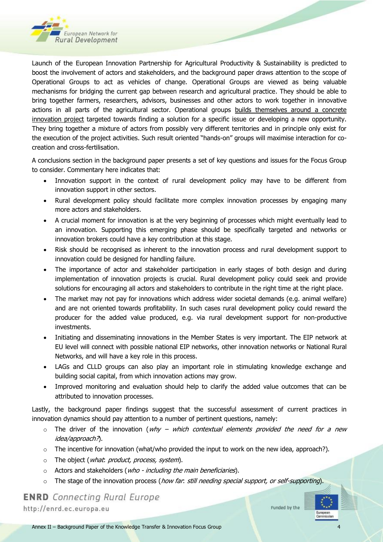

Launch of the European Innovation Partnership for Agricultural Productivity & Sustainability is predicted to boost the involvement of actors and stakeholders, and the background paper draws attention to the scope of Operational Groups to act as vehicles of change. Operational Groups are viewed as being valuable mechanisms for bridging the current gap between research and agricultural practice. They should be able to bring together farmers, researchers, advisors, businesses and other actors to work together in innovative actions in all parts of the agricultural sector. Operational groups builds themselves around a concrete innovation project targeted towards finding a solution for a specific issue or developing a new opportunity. They bring together a mixture of actors from possibly very different territories and in principle only exist for the execution of the project activities. Such result oriented "hands-on" groups will maximise interaction for cocreation and cross-fertilisation.

A conclusions section in the background paper presents a set of key questions and issues for the Focus Group to consider. Commentary here indicates that:

- Innovation support in the context of rural development policy may have to be different from innovation support in other sectors.
- Rural development policy should facilitate more complex innovation processes by engaging many more actors and stakeholders.
- A crucial moment for innovation is at the very beginning of processes which might eventually lead to an innovation. Supporting this emerging phase should be specifically targeted and networks or innovation brokers could have a key contribution at this stage.
- Risk should be recognised as inherent to the innovation process and rural development support to innovation could be designed for handling failure.
- The importance of actor and stakeholder participation in early stages of both design and during implementation of innovation projects is crucial. Rural development policy could seek and provide solutions for encouraging all actors and stakeholders to contribute in the right time at the right place.
- The market may not pay for innovations which address wider societal demands (e.g. animal welfare) and are not oriented towards profitability. In such cases rural development policy could reward the producer for the added value produced, e.g. via rural development support for non-productive investments.
- Initiating and disseminating innovations in the Member States is very important. The EIP network at EU level will connect with possible national EIP networks, other innovation networks or National Rural Networks, and will have a key role in this process.
- LAGs and CLLD groups can also play an important role in stimulating knowledge exchange and building social capital, from which innovation actions may grow.
- Improved monitoring and evaluation should help to clarify the added value outcomes that can be attributed to innovation processes.

Lastly, the background paper findings suggest that the successful assessment of current practices in innovation dynamics should pay attention to a number of pertinent questions, namely:

- $\circ$  The driver of the innovation (why which contextual elements provided the need for a new idea/approach?).
- $\circ$  The incentive for innovation (what/who provided the input to work on the new idea, approach?).
- o The object (*what: product, process, system*).
- o Actors and stakeholders (who including the main beneficiaries).
- o The stage of the innovation process (*how far. still needing special support, or self-supporting*).

**ENRD** Connecting Rural Europe

http://enrd.ec.europa.eu

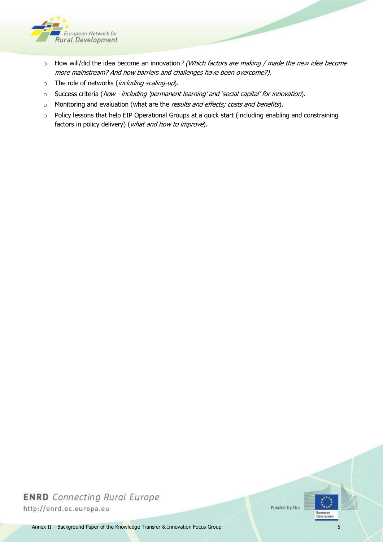

- o How will/did the idea become an innovation? (Which factors are making / made the new idea become more mainstream? And how barriers and challenges have been overcome?).
- o The role of networks (*including scaling-up*).
- o Success criteria (how including 'permanent learning' and 'social capital' for innovation).
- $\circ$  Monitoring and evaluation (what are the *results and effects; costs and benefits*).
- o Policy lessons that help EIP Operational Groups at a quick start (including enabling and constraining factors in policy delivery) (what and how to improve).

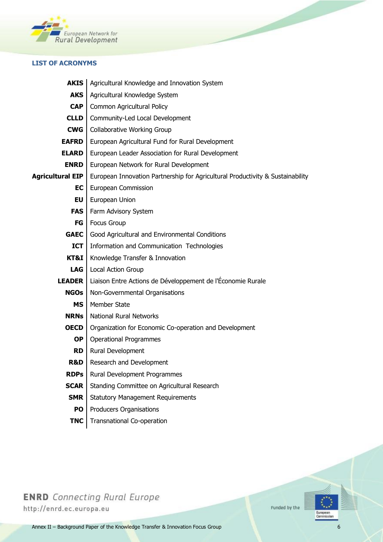

#### **LIST OF ACRONYMS**

| <b>AKIS</b>             | Agricultural Knowledge and Innovation System                                   |  |
|-------------------------|--------------------------------------------------------------------------------|--|
| <b>AKS</b>              | Agricultural Knowledge System                                                  |  |
| <b>CAP</b>              | Common Agricultural Policy                                                     |  |
| <b>CLLD</b>             | Community-Led Local Development                                                |  |
| <b>CWG</b>              | <b>Collaborative Working Group</b>                                             |  |
| <b>EAFRD</b>            | European Agricultural Fund for Rural Development                               |  |
| <b>ELARD</b>            | European Leader Association for Rural Development                              |  |
| <b>ENRD</b>             | European Network for Rural Development                                         |  |
| <b>Agricultural EIP</b> | European Innovation Partnership for Agricultural Productivity & Sustainability |  |
| EC                      | European Commission                                                            |  |
| EU                      | European Union                                                                 |  |
| <b>FAS</b>              | Farm Advisory System                                                           |  |
| <b>FG</b>               | <b>Focus Group</b>                                                             |  |
| <b>GAEC</b>             | Good Agricultural and Environmental Conditions                                 |  |
| <b>ICT</b>              | Information and Communication Technologies                                     |  |
| KT&I                    | Knowledge Transfer & Innovation                                                |  |
| LAG                     | Local Action Group                                                             |  |
| <b>LEADER</b>           | Liaison Entre Actions de Développement de l'Économie Rurale                    |  |
| <b>NGOs</b>             | Non-Governmental Organisations                                                 |  |
| <b>MS</b>               | Member State                                                                   |  |
| <b>NRNs</b>             | <b>National Rural Networks</b>                                                 |  |
| <b>OECD</b>             | Organization for Economic Co-operation and Development                         |  |
| <b>OP</b>               | <b>Operational Programmes</b>                                                  |  |
| <b>RD</b>               | Rural Development                                                              |  |
| R&D                     | Research and Development                                                       |  |
| <b>RDPs</b>             | Rural Development Programmes                                                   |  |
| <b>SCAR</b>             | Standing Committee on Agricultural Research                                    |  |
| <b>SMR</b>              | <b>Statutory Management Requirements</b>                                       |  |
| PO                      | Producers Organisations                                                        |  |
| <b>TNC</b>              | <b>Transnational Co-operation</b>                                              |  |

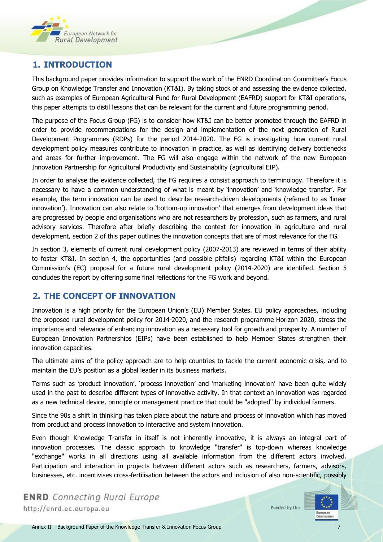

## **1. INTRODUCTION**

This background paper provides information to support the work of the ENRD Coordination Committee's Focus Group on Knowledge Transfer and Innovation (KT&I). By taking stock of and assessing the evidence collected, such as examples of European Agricultural Fund for Rural Development (EAFRD) support for KT&I operations, this paper attempts to distil lessons that can be relevant for the current and future programming period.

The purpose of the Focus Group (FG) is to consider how KT&I can be better promoted through the EAFRD in order to provide recommendations for the design and implementation of the next generation of Rural Development Programmes (RDPs) for the period 2014-2020. The FG is investigating how current rural development policy measures contribute to innovation in practice, as well as identifying delivery bottlenecks and areas for further improvement. The FG will also engage within the network of the new European Innovation Partnership for Agricultural Productivity and Sustainability (agricultural EIP).

In order to analyse the evidence collected, the FG requires a consist approach to terminology. Therefore it is necessary to have a common understanding of what is meant by 'innovation' and 'knowledge transfer'. For example, the term innovation can be used to describe research-driven developments (referred to as 'linear innovation'). Innovation can also relate to 'bottom-up innovation' that emerges from development ideas that are progressed by people and organisations who are not researchers by profession, such as farmers, and rural advisory services. Therefore after briefly describing the context for innovation in agriculture and rural development, section 2 of this paper outlines the innovation concepts that are of most relevance for the FG.

In section 3, elements of current rural development policy (2007-2013) are reviewed in terms of their ability to foster KT&I. In section 4, the opportunities (and possible pitfalls) regarding KT&I within the European Commission's (EC) proposal for a future rural development policy (2014-2020) are identified. Section 5 concludes the report by offering some final reflections for the FG work and beyond.

### **2. THE CONCEPT OF INNOVATION**

Innovation is a high priority for the European Union's (EU) Member States. EU policy approaches, including the proposed rural development policy for 2014-2020, and the research programme Horizon 2020, stress the importance and relevance of enhancing innovation as a necessary tool for growth and prosperity. A number of European Innovation Partnerships (EIPs) have been established to help Member States strengthen their innovation capacities.

The ultimate aims of the policy approach are to help countries to tackle the current economic crisis, and to maintain the EU's position as a global leader in its business markets.

Terms such as 'product innovation', 'process innovation' and 'marketing innovation' have been quite widely used in the past to describe different types of innovative activity. In that context an innovation was regarded as a new technical device, principle or management practice that could be "adopted" by individual farmers.

Since the 90s a shift in thinking has taken place about the nature and process of innovation which has moved from product and process innovation to interactive and system innovation.

Even though Knowledge Transfer in itself is not inherently innovative, it is always an integral part of innovation processes. The classic approach to knowledge "transfer" is top-down whereas knowledge "exchange" works in all directions using all available information from the different actors involved. Participation and interaction in projects between different actors such as researchers, farmers, advisors, businesses, etc. incentivises cross-fertilisation between the actors and inclusion of also non-scientific, possibly

**ENRD** Connecting Rural Europe http://enrd.ec.europa.eu

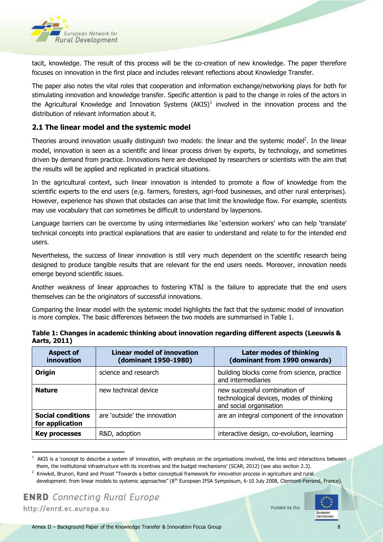

tacit, knowledge. The result of this process will be the co-creation of new knowledge. The paper therefore focuses on innovation in the first place and includes relevant reflections about Knowledge Transfer.

The paper also notes the vital roles that cooperation and information exchange/networking plays for both for stimulating innovation and knowledge transfer. Specific attention is paid to the change in roles of the actors in the Agricultural Knowledge and Innovation Systems (AKIS)<sup>1</sup> involved in the innovation process and the distribution of relevant information about it.

#### **2.1 The linear model and the systemic model**

Theories around innovation usually distinguish two models: the linear and the systemic model<sup>2</sup>. In the linear model, innovation is seen as a scientific and linear process driven by experts, by technology, and sometimes driven by demand from practice. Innovations here are developed by researchers or scientists with the aim that the results will be applied and replicated in practical situations.

In the agricultural context, such linear innovation is intended to promote a flow of knowledge from the scientific experts to the end users (e.g. farmers, foresters, agri-food businesses, and other rural enterprises). However, experience has shown that obstacles can arise that limit the knowledge flow. For example, scientists may use vocabulary that can sometimes be difficult to understand by laypersons.

Language barriers can be overcome by using intermediaries like 'extension workers' who can help 'translate' technical concepts into practical explanations that are easier to understand and relate to for the intended end users.

Nevertheless, the success of linear innovation is still very much dependent on the scientific research being designed to produce tangible results that are relevant for the end users needs. Moreover, innovation needs emerge beyond scientific issues.

Another weakness of linear approaches to fostering KT&I is the failure to appreciate that the end users themselves can be the originators of successful innovations.

Comparing the linear model with the systemic model highlights the fact that the systemic model of innovation is more complex. The basic differences between the two models are summarised in Table 1.

| <b>Aspect of</b><br>innovation              | <b>Linear model of innovation</b><br>(dominant 1950-1980) | Later modes of thinking<br>(dominant from 1990 onwards)                                              |
|---------------------------------------------|-----------------------------------------------------------|------------------------------------------------------------------------------------------------------|
| <b>Origin</b>                               | science and research                                      | building blocks come from science, practice<br>and intermediaries                                    |
| <b>Nature</b>                               | new technical device                                      | new successful combination of<br>technological devices, modes of thinking<br>and social organisation |
| <b>Social conditions</b><br>for application | are 'outside' the innovation                              | are an integral component of the innovation                                                          |
| <b>Key processes</b>                        | R&D, adoption                                             | interactive design, co-evolution, learning                                                           |

| Table 1: Changes in academic thinking about innovation regarding different aspects (Leeuwis & |  |
|-----------------------------------------------------------------------------------------------|--|
| Aarts, 2011)                                                                                  |  |

 $\ddot{\phantom{a}}$ 



 $<sup>1</sup>$  AKIS is a 'concept to describe a system of innovation, with emphasis on the organisations involved, the links and interactions between</sup> them, the institutional infrastructure with its incentives and the budget mechanisms' (SCAR, 2012) (see also section 2.3).

<sup>&</sup>lt;sup>2</sup> Kniwkel, Brunori, Rand and Proost "Towards a better conceptual framework for innovation process in agriculture and rural development: from linear models to systemic approaches" (8<sup>th</sup> European IFSA Sympoisum, 6-10 July 2008, Clermont-Ferrand, France).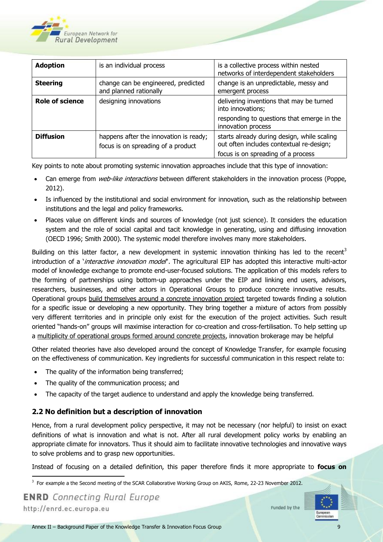

| <b>Adoption</b>        | is an individual process                                                     | is a collective process within nested<br>networks of interdependent stakeholders                                              |
|------------------------|------------------------------------------------------------------------------|-------------------------------------------------------------------------------------------------------------------------------|
| <b>Steering</b>        | change can be engineered, predicted<br>and planned rationally                | change is an unpredictable, messy and<br>emergent process                                                                     |
| <b>Role of science</b> | designing innovations                                                        | delivering inventions that may be turned<br>into innovations;<br>responding to questions that emerge in the                   |
|                        |                                                                              | innovation process                                                                                                            |
| <b>Diffusion</b>       | happens after the innovation is ready;<br>focus is on spreading of a product | starts already during design, while scaling<br>out often includes contextual re-design;<br>focus is on spreading of a process |

Key points to note about promoting systemic innovation approaches include that this type of innovation:

- Can emerge from web-like interactions between different stakeholders in the innovation process (Poppe, 2012).
- Is influenced by the institutional and social environment for innovation, such as the relationship between institutions and the legal and policy frameworks.
- Places value on different kinds and sources of knowledge (not just science). It considers the education system and the role of social capital and tacit knowledge in generating, using and diffusing innovation (OECD 1996; Smith 2000). The systemic model therefore involves many more stakeholders.

Building on this latter factor, a new development in systemic innovation thinking has led to the recent<sup>3</sup> introduction of a *'interactive innovation model*". The agricultural EIP has adopted this interactive multi-actor model of knowledge exchange to promote end-user-focused solutions. The application of this models refers to the forming of partnerships using bottom-up approaches under the EIP and linking end users, advisors, researchers, businesses, and other actors in Operational Groups to produce concrete innovative results. Operational groups build themselves around a concrete innovation project targeted towards finding a solution for a specific issue or developing a new opportunity. They bring together a mixture of actors from possibly very different territories and in principle only exist for the execution of the project activities. Such result oriented "hands-on" groups will maximise interaction for co-creation and cross-fertilisation. To help setting up a multiplicity of operational groups formed around concrete projects, innovation brokerage may be helpful

Other related theories have also developed around the concept of Knowledge Transfer, for example focusing on the effectiveness of communication. Key ingredients for successful communication in this respect relate to:

- The quality of the information being transferred;
- The quality of the communication process; and
- The capacity of the target audience to understand and apply the knowledge being transferred.

#### **2.2 No definition but a description of innovation**

Hence, from a rural development policy perspective, it may not be necessary (nor helpful) to insist on exact definitions of what is innovation and what is not. After all rural development policy works by enabling an appropriate climate for innovators. Thus it should aim to facilitate innovative technologies and innovative ways to solve problems and to grasp new opportunities.

Instead of focusing on a detailed definition, this paper therefore finds it more appropriate to **focus on** 

**ENRD** Connecting Rural Europe http://enrd.ec.europa.eu



 3 For example a the Second meeting of the SCAR Collaborative Working Group on AKIS, Rome, 22-23 November 2012.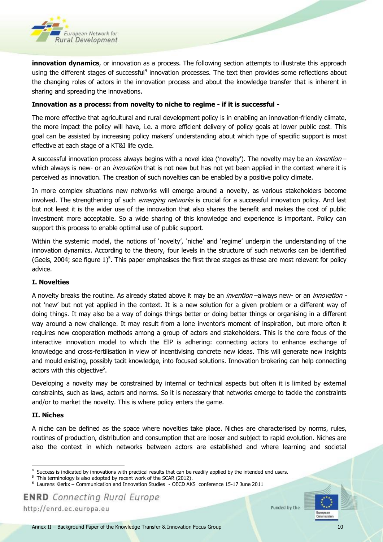

**innovation dynamics**, or innovation as a process. The following section attempts to illustrate this approach using the different stages of successful<sup>4</sup> innovation processes. The text then provides some reflections about the changing roles of actors in the innovation process and about the knowledge transfer that is inherent in sharing and spreading the innovations.

#### **Innovation as a process: from novelty to niche to regime - if it is successful -**

The more effective that agricultural and rural development policy is in enabling an innovation-friendly climate, the more impact the policy will have, i.e. a more efficient delivery of policy goals at lower public cost. This goal can be assisted by increasing policy makers' understanding about which type of specific support is most effective at each stage of a KT&I life cycle.

A successful innovation process always begins with a novel idea ('novelty'). The novelty may be an *invention* – which always is new- or an *innovation* that is not new but has not yet been applied in the context where it is perceived as innovation. The creation of such novelties can be enabled by a positive policy climate.

In more complex situations new networks will emerge around a novelty, as various stakeholders become involved. The strengthening of such *emerging networks* is crucial for a successful innovation policy. And last but not least it is the wider use of the innovation that also shares the benefit and makes the cost of public investment more acceptable. So a wide sharing of this knowledge and experience is important. Policy can support this process to enable optimal use of public support.

Within the systemic model, the notions of 'novelty', 'niche' and 'regime' underpin the understanding of the innovation dynamics. According to the theory, four levels in the structure of such networks can be identified (Geels, 2004; see figure  $1$ )<sup>5</sup>. This paper emphasises the first three stages as these are most relevant for policy advice.

#### **I. Novelties**

A novelty breaks the routine. As already stated above it may be an *invention* –always new- or an *innovation* not 'new' but not yet applied in the context. It is a new solution for a given problem or a different way of doing things. It may also be a way of doings things better or doing better things or organising in a different way around a new challenge. It may result from a lone inventor's moment of inspiration, but more often it requires new cooperation methods among a group of actors and stakeholders. This is the core focus of the interactive innovation model to which the EIP is adhering: connecting actors to enhance exchange of knowledge and cross-fertilisation in view of incentivising concrete new ideas. This will generate new insights and mould existing, possibly tacit knowledge, into focused solutions. Innovation brokering can help connecting actors with this objective $^6$ .

Developing a novelty may be constrained by internal or technical aspects but often it is limited by external constraints, such as laws, actors and norms. So it is necessary that networks emerge to tackle the constraints and/or to market the novelty. This is where policy enters the game.

#### **II. Niches**

1

A niche can be defined as the space where novelties take place. Niches are characterised by norms, rules, routines of production, distribution and consumption that are looser and subject to rapid evolution. Niches are also the context in which networks between actors are established and where learning and societal

http://enrd.ec.europa.eu



<sup>4</sup> Success is indicated by innovations with practical results that can be readily applied by the intended end users.

<sup>5</sup> This terminology is also adopted by recent work of the SCAR (2012).

<sup>6</sup> Laurens Klerkx – Communication and Innovation Studies - OECD AKS conference 15-17 June 2011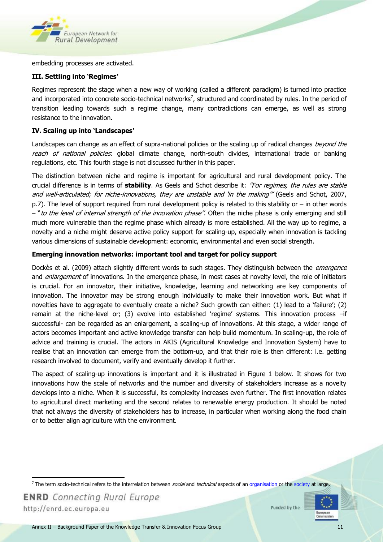

embedding processes are activated.

#### **III. Settling into 'Regimes'**

Regimes represent the stage when a new way of working (called a different paradigm) is turned into practice and incorporated into concrete socio-technical networks<sup>7</sup>, structured and coordinated by rules. In the period of transition leading towards such a regime change, many contradictions can emerge, as well as strong resistance to the innovation.

#### **IV. Scaling up into 'Landscapes'**

Landscapes can change as an effect of supra-national policies or the scaling up of radical changes beyond the reach of national policies: global climate change, north-south divides, international trade or banking regulations, etc. This fourth stage is not discussed further in this paper.

The distinction between niche and regime is important for agricultural and rural development policy. The crucial difference is in terms of **stability**. As Geels and Schot describe it: "For regimes, the rules are stable and well-articulated; for niche-innovations, they are unstable and 'in the making'" (Geels and Schot, 2007, p.7). The level of support required from rural development policy is related to this stability or – in other words – "to the level of internal strength of the innovation phase". Often the niche phase is only emerging and still much more vulnerable than the regime phase which already is more established. All the way up to regime, a novelty and a niche might deserve active policy support for scaling-up, especially when innovation is tackling various dimensions of sustainable development: economic, environmental and even social strength.

#### **Emerging innovation networks: important tool and target for policy support**

Dockès et al. (2009) attach slightly different words to such stages. They distinguish between the *emergence* and enlargement of innovations. In the emergence phase, in most cases at novelty level, the role of initiators is crucial. For an innovator, their initiative, knowledge, learning and networking are key components of innovation. The innovator may be strong enough individually to make their innovation work. But what if novelties have to aggregate to eventually create a niche? Such growth can either: (1) lead to a 'failure'; (2) remain at the niche-level or; (3) evolve into established 'regime' systems. This innovation process –if successful- can be regarded as an enlargement, a scaling-up of innovations. At this stage, a wider range of actors becomes important and active knowledge transfer can help build momentum. In scaling-up, the role of advice and training is crucial. The actors in AKIS (Agricultural Knowledge and Innovation System) have to realise that an innovation can emerge from the bottom-up, and that their role is then different: i.e. getting research involved to document, verify and eventually develop it further.

The aspect of scaling-up innovations is important and it is illustrated in Figure 1 below. It shows for two innovations how the scale of networks and the number and diversity of stakeholders increase as a novelty develops into a niche. When it is successful, its complexity increases even further. The first innovation relates to agricultural direct marketing and the second relates to renewable energy production. It should be noted that not always the diversity of stakeholders has to increase, in particular when working along the food chain or to better align agriculture with the environment.

**ENRD** Connecting Rural Europe http://enrd.ec.europa.eu

 $\overline{a}$ 



<sup>&</sup>lt;sup>7</sup> The term socio-technical refers to the interrelation between *social* and *technical* aspects of an <u>organisation</u> or the [society](http://en.wikipedia.org/wiki/Society) at large.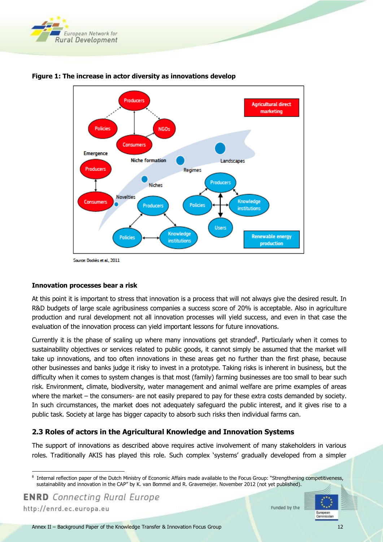



<span id="page-11-0"></span>**Figure 1: The increase in actor diversity as innovations develop**

#### **Innovation processes bear a risk**

At this point it is important to stress that innovation is a process that will not always give the desired result. In R&D budgets of large scale agribusiness companies a success score of 20% is acceptable. Also in agriculture production and rural development not all innovation processes will yield success, and even in that case the evaluation of the innovation process can yield important lessons for future innovations.

Currently it is the phase of scaling up where many innovations get stranded<sup>8</sup>. Particularly when it comes to sustainability objectives or services related to public goods, it cannot simply be assumed that the market will take up innovations, and too often innovations in these areas get no further than the first phase, because other businesses and banks judge it risky to invest in a prototype. Taking risks is inherent in business, but the difficulty when it comes to system changes is that most (family) farming businesses are too small to bear such risk. Environment, climate, biodiversity, water management and animal welfare are prime examples of areas where the market – the consumers- are not easily prepared to pay for these extra costs demanded by society. In such circumstances, the market does not adequately safeguard the public interest, and it gives rise to a public task. Society at large has bigger capacity to absorb such risks then individual farms can.

#### **2.3 Roles of actors in the Agricultural Knowledge and Innovation Systems**

The support of innovations as described above requires active involvement of many stakeholders in various roles. Traditionally AKIS has played this role. Such complex 'systems' gradually developed from a simpler

**ENRD** Connecting Rural Europe

http://enrd.ec.europa.eu

 $\ddot{\phantom{a}}$ 



<sup>8</sup> Internal reflection paper of the Dutch Ministry of Economic Affairs made available to the Focus Group: "Strengthening competitiveness, sustainability and innovation in the CAP" by K. van Bommel and R. Gravemeijer. November 2012 (not yet published).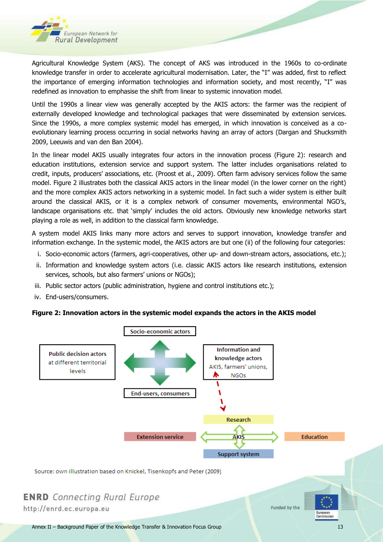

Agricultural Knowledge System (AKS). The concept of AKS was introduced in the 1960s to co-ordinate knowledge transfer in order to accelerate agricultural modernisation. Later, the "I" was added, first to reflect the importance of emerging information technologies and information society, and most recently, "I" was redefined as innovation to emphasise the shift from linear to systemic innovation model.

Until the 1990s a linear view was generally accepted by the AKIS actors: the farmer was the recipient of externally developed knowledge and technological packages that were disseminated by extension services. Since the 1990s, a more complex systemic model has emerged, in which innovation is conceived as a coevolutionary learning process occurring in social networks having an array of actors (Dargan and Shucksmith 2009, Leeuwis and van den Ban 2004).

In the linear model AKIS usually integrates four actors in the innovation process (Figure 2): research and education institutions, extension service and support system. The latter includes organisations related to credit, inputs, producers' associations, etc. (Proost et al., 2009). Often farm advisory services follow the same model. Figure 2 illustrates both the classical AKIS actors in the linear model (in the lower corner on the right) and the more complex AKIS actors networking in a systemic model. In fact such a wider system is either built around the classical AKIS, or it is a complex network of consumer movements, environmental NGO's, landscape organisations etc. that 'simply' includes the old actors. Obviously new knowledge networks start playing a role as well, in addition to the classical farm knowledge.

A system model AKIS links many more actors and serves to support innovation, knowledge transfer and information exchange. In the systemic model, the AKIS actors are but one (ii) of the following four categories:

- i. Socio-economic actors (farmers, agri-cooperatives, other up- and down-stream actors, associations, etc.);
- ii. Information and knowledge system actors (i.e. classic AKIS actors like research institutions, extension services, schools, but also farmers' unions or NGOs);
- iii. Public sector actors (public administration, hygiene and control institutions etc.);
- iv. End-users/consumers.

#### <span id="page-12-0"></span>**Figure 2: Innovation actors in the systemic model expands the actors in the AKIS model**

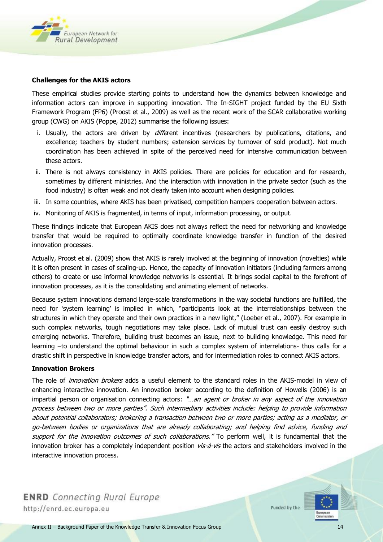

#### **Challenges for the AKIS actors**

These empirical studies provide starting points to understand how the dynamics between knowledge and information actors can improve in supporting innovation. The In-SIGHT project funded by the EU Sixth Framework Program (FP6) (Proost et al., 2009) as well as the recent work of the SCAR collaborative working group (CWG) on AKIS (Poppe, 2012) summarise the following issues:

- i. Usually, the actors are driven by *diffe*rent incentives (researchers by publications, citations, and excellence; teachers by student numbers; extension services by turnover of sold product). Not much coordination has been achieved in spite of the perceived need for intensive communication between these actors.
- ii. There is not always consistency in AKIS policies. There are policies for education and for research, sometimes by different ministries. And the interaction with innovation in the private sector (such as the food industry) is often weak and not clearly taken into account when designing policies.
- iii. In some countries, where AKIS has been privatised, competition hampers cooperation between actors.
- iv. Monitoring of AKIS is fragmented, in terms of input, information processing, or output.

These findings indicate that European AKIS does not always reflect the need for networking and knowledge transfer that would be required to optimally coordinate knowledge transfer in function of the desired innovation processes.

Actually, Proost et al. (2009) show that AKIS is rarely involved at the beginning of innovation (novelties) while it is often present in cases of scaling-up. Hence, the capacity of innovation initiators (including farmers among others) to create or use informal knowledge networks is essential. It brings social capital to the forefront of innovation processes, as it is the consolidating and animating element of networks.

Because system innovations demand large-scale transformations in the way societal functions are fulfilled, the need for 'system learning' is implied in which, "participants look at the interrelationships between the structures in which they operate and their own practices in a new light," (Loeber et al., 2007). For example in such complex networks, tough negotiations may take place. Lack of mutual trust can easily destroy such emerging networks. Therefore, building trust becomes an issue, next to building knowledge. This need for learning –to understand the optimal behaviour in such a complex system of interrelations- thus calls for a drastic shift in perspective in knowledge transfer actors, and for intermediation roles to connect AKIS actors.

#### **Innovation Brokers**

The role of *innovation brokers* adds a useful element to the standard roles in the AKIS-model in view of enhancing interactive innovation. An innovation broker according to the definition of Howells (2006) is an impartial person or organisation connecting actors: "...an agent or broker in any aspect of the innovation process between two or more parties". Such intermediary activities include: helping to provide information about potential collaborators; brokering a transaction between two or more parties; acting as a mediator, or go-between bodies or organizations that are already collaborating; and helping find advice, funding and support for the innovation outcomes of such collaborations." To perform well, it is fundamental that the innovation broker has a completely independent position vis-à-vis the actors and stakeholders involved in the interactive innovation process.

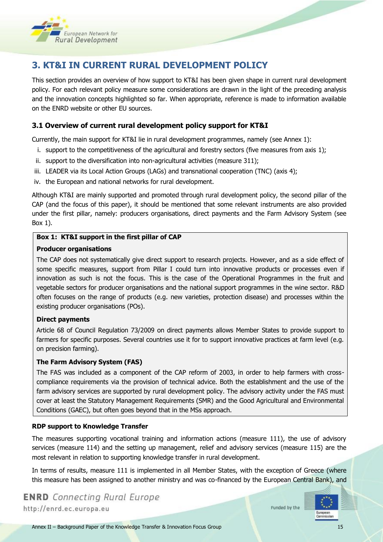

# **3. KT&I IN CURRENT RURAL DEVELOPMENT POLICY**

This section provides an overview of how support to KT&I has been given shape in current rural development policy. For each relevant policy measure some considerations are drawn in the light of the preceding analysis and the innovation concepts highlighted so far. When appropriate, reference is made to information available on the ENRD website or other EU sources.

#### **3.1 Overview of current rural development policy support for KT&I**

Currently, the main support for KT&I lie in rural development programmes, namely (see Annex 1):

- i. support to the competitiveness of the agricultural and forestry sectors (five measures from axis 1);
- ii. support to the diversification into non-agricultural activities (measure 311);
- iii. LEADER via its Local Action Groups (LAGs) and transnational cooperation (TNC) (axis 4);
- iv. the European and national networks for rural development.

Although KT&I are mainly supported and promoted through rural development policy, the second pillar of the CAP (and the focus of this paper), it should be mentioned that some relevant instruments are also provided under the first pillar, namely: producers organisations, direct payments and the Farm Advisory System (see Box 1).

#### **Box 1: KT&I support in the first pillar of CAP**

#### **Producer organisations**

The CAP does not systematically give direct support to research projects. However, and as a side effect of some specific measures, support from Pillar I could turn into innovative products or processes even if innovation as such is not the focus. This is the case of the Operational Programmes in the fruit and vegetable sectors for producer organisations and the national support programmes in the wine sector. R&D often focuses on the range of products (e.g. new varieties, protection disease) and processes within the existing producer organisations (POs).

#### **Direct payments**

Article 68 of Council Regulation 73/2009 on direct payments allows Member States to provide support to farmers for specific purposes. Several countries use it for to support innovative practices at farm level (e.g. on precision farming).

#### **The Farm Advisory System (FAS)**

The FAS was included as a component of the CAP reform of 2003, in order to help farmers with crosscompliance requirements via the provision of technical advice. Both the establishment and the use of the farm advisory services are supported by rural development policy. The advisory activity under the FAS must cover at least the Statutory Management Requirements (SMR) and the Good Agricultural and Environmental Conditions (GAEC), but often goes beyond that in the MSs approach.

#### **RDP support to Knowledge Transfer**

The measures supporting vocational training and information actions (measure 111), the use of advisory services (measure 114) and the setting up management, relief and advisory services (measure 115) are the most relevant in relation to supporting knowledge transfer in rural development.

In terms of results, measure 111 is implemented in all Member States, with the exception of Greece (where this measure has been assigned to another ministry and was co-financed by the European Central Bank), and

**ENRD** Connecting Rural Europe http://enrd.ec.europa.eu

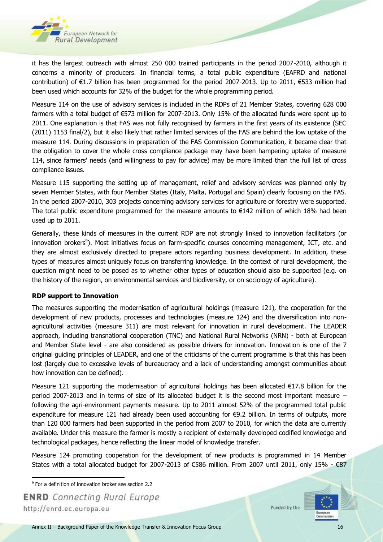

it has the largest outreach with almost 250 000 trained participants in the period 2007-2010, although it concerns a minority of producers. In financial terms, a total public expenditure (EAFRD and national contribution) of €1.7 billion has been programmed for the period 2007-2013. Up to 2011, €533 million had been used which accounts for 32% of the budget for the whole programming period.

Measure 114 on the use of advisory services is included in the RDPs of 21 Member States, covering 628 000 farmers with a total budget of €573 million for 2007-2013. Only 15% of the allocated funds were spent up to 2011. One explanation is that FAS was not fully recognised by farmers in the first years of its existence (SEC (2011) 1153 final/2), but it also likely that rather limited services of the FAS are behind the low uptake of the measure 114. During discussions in preparation of the FAS Commission Communication, it became clear that the obligation to cover the whole cross compliance package may have been hampering uptake of measure 114, since farmers' needs (and willingness to pay for advice) may be more limited than the full list of cross compliance issues.

Measure 115 supporting the setting up of management, relief and advisory services was planned only by seven Member States, with four Member States (Italy, Malta, Portugal and Spain) clearly focusing on the FAS. In the period 2007-2010, 303 projects concerning advisory services for agriculture or forestry were supported. The total public expenditure programmed for the measure amounts to  $\epsilon$ 142 million of which 18% had been used up to 2011.

Generally, these kinds of measures in the current RDP are not strongly linked to innovation facilitators (or innovation brokers<sup>9</sup>). Most initiatives focus on farm-specific courses concerning management, ICT, etc. and they are almost exclusively directed to prepare actors regarding business development. In addition, these types of measures almost uniquely focus on transferring knowledge. In the context of rural development, the question might need to be posed as to whether other types of education should also be supported (e.g. on the history of the region, on environmental services and biodiversity, or on sociology of agriculture).

#### **RDP support to Innovation**

The measures supporting the modernisation of agricultural holdings (measure 121), the cooperation for the development of new products, processes and technologies (measure 124) and the diversification into nonagricultural activities (measure 311) are most relevant for innovation in rural development. The LEADER approach, including transnational cooperation (TNC) and National Rural Networks (NRN) - both at European and Member State level - are also considered as possible drivers for innovation. Innovation is one of the 7 original guiding principles of LEADER, and one of the criticisms of the current programme is that this has been lost (largely due to excessive levels of bureaucracy and a lack of understanding amongst communities about how innovation can be defined).

Measure 121 supporting the modernisation of agricultural holdings has been allocated €17.8 billion for the period 2007-2013 and in terms of size of its allocated budget it is the second most important measure – following the agri-environment payments measure. Up to 2011 almost 52% of the programmed total public expenditure for measure 121 had already been used accounting for €9.2 billion. In terms of outputs, more than 120 000 farmers had been supported in the period from 2007 to 2010, for which the data are currently available. Under this measure the farmer is mostly a recipient of externally developed codified knowledge and technological packages, hence reflecting the linear model of knowledge transfer.

Measure 124 promoting cooperation for the development of new products is programmed in 14 Member States with a total allocated budget for 2007-2013 of €586 million. From 2007 until 2011, only 15% - €87



 9 For a definition of innovation broker see section 2.2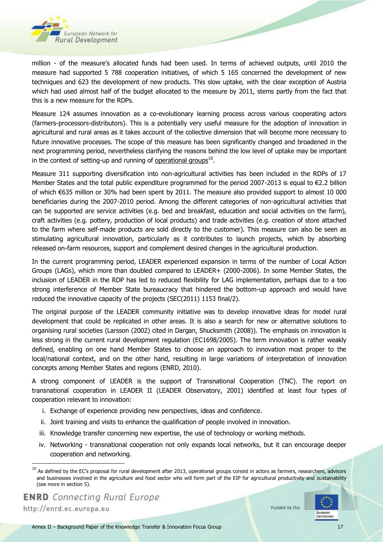

million - of the measure's allocated funds had been used. In terms of achieved outputs, until 2010 the measure had supported 5 788 cooperation initiatives, of which 5 165 concerned the development of new techniques and 623 the development of new products. This slow uptake, with the clear exception of Austria which had used almost half of the budget allocated to the measure by 2011, stems partly from the fact that this is a new measure for the RDPs.

Measure 124 assumes innovation as a co-evolutionary learning process across various cooperating actors (farmers-processors-distributors). This is a potentially very useful measure for the adoption of innovation in agricultural and rural areas as it takes account of the collective dimension that will become more necessary to future innovative processes. The scope of this measure has been significantly changed and broadened in the next programming period, nevertheless clarifying the reasons behind the low level of uptake may be important in the context of setting-up and running of <u>operational groups</u><sup>10</sup>.

Measure 311 supporting diversification into non-agricultural activities has been included in the RDPs of 17 Member States and the total public expenditure programmed for the period 2007-2013 is equal to €2.2 billion of which €635 million or 30% had been spent by 2011. The measure also provided support to almost 10 000 beneficiaries during the 2007-2010 period. Among the different categories of non-agricultural activities that can be supported are service activities (e.g. bed and breakfast, education and social activities on the farm), craft activities (e.g. pottery, production of local products) and trade activities (e.g. creation of store attached to the farm where self-made products are sold directly to the customer). This measure can also be seen as stimulating agricultural innovation, particularly as it contributes to launch projects, which by absorbing released on-farm resources, support and complement desired changes in the agricultural production.

In the current programming period, LEADER experienced expansion in terms of the number of Local Action Groups (LAGs), which more than doubled compared to LEADER+ (2000-2006). In some Member States, the inclusion of LEADER in the RDP has led to reduced flexibility for LAG implementation, perhaps due to a too strong interference of Member State bureaucracy that hindered the bottom-up approach and would have reduced the innovative capacity of the projects (SEC(2011) 1153 final/2).

The original purpose of the LEADER community initiative was to develop innovative ideas for model rural development that could be replicated in other areas. It is also a search for new or alternative solutions to organising rural societies (Larsson (2002) cited in Dargan, Shucksmith (2008)). The emphasis on innovation is less strong in the current rural development regulation (EC1698/2005). The term innovation is rather weakly defined, enabling on one hand Member States to choose an approach to innovation most proper to the local/national context, and on the other hand, resulting in large variations of interpretation of innovation concepts among Member States and regions (ENRD, 2010).

A strong component of LEADER is the support of Transnational Cooperation (TNC). The report on transnational cooperation in LEADER II (LEADER Observatory, 2001) identified at least four types of cooperation relevant to innovation:

- i. Exchange of experience providing new perspectives, ideas and confidence.
- ii. Joint training and visits to enhance the qualification of people involved in innovation.
- iii. Knowledge transfer concerning new expertise, the use of technology or working methods.
- iv. Networking transnational cooperation not only expands local networks, but it can encourage deeper cooperation and networking.

1



 $^{10}$  As defined by the EC's proposal for rural development after 2013, operational groups consist in actors as farmers, researchers, advisors and businesses involved in the agriculture and food sector who will form part of the EIP for agricultural productivity and sustainability (see more in section 5).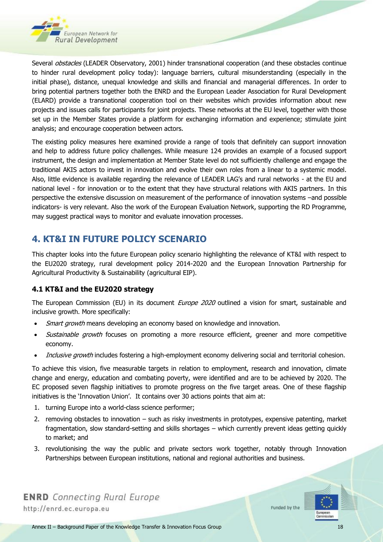

Several *obstacles* (LEADER Observatory, 2001) hinder transnational cooperation (and these obstacles continue to hinder rural development policy today): language barriers, cultural misunderstanding (especially in the initial phase), distance, unequal knowledge and skills and financial and managerial differences. In order to bring potential partners together both the ENRD and the European Leader Association for Rural Development (ELARD) provide a transnational cooperation tool on their websites which provides information about new projects and issues calls for participants for joint projects. These networks at the EU level, together with those set up in the Member States provide a platform for exchanging information and experience; stimulate joint analysis; and encourage cooperation between actors.

The existing policy measures here examined provide a range of tools that definitely can support innovation and help to address future policy challenges. While measure 124 provides an example of a focused support instrument, the design and implementation at Member State level do not sufficiently challenge and engage the traditional AKIS actors to invest in innovation and evolve their own roles from a linear to a systemic model. Also, little evidence is available regarding the relevance of LEADER LAG's and rural networks - at the EU and national level - for innovation or to the extent that they have structural relations with AKIS partners. In this perspective the extensive discussion on measurement of the performance of innovation systems –and possible indicators- is very relevant. Also the work of the European Evaluation Network, supporting the RD Programme, may suggest practical ways to monitor and evaluate innovation processes.

# **4. KT&I IN FUTURE POLICY SCENARIO**

This chapter looks into the future European policy scenario highlighting the relevance of KT&I with respect to the EU2020 strategy, rural development policy 2014-2020 and the European Innovation Partnership for Agricultural Productivity & Sustainability (agricultural EIP).

#### **4.1 KT&I and the EU2020 strategy**

The European Commission (EU) in its document *Europe 2020* outlined a vision for smart, sustainable and inclusive growth. More specifically:

- Smart growth means developing an economy based on knowledge and innovation.
- Sustainable growth focuses on promoting a more resource efficient, greener and more competitive economy.
- Inclusive growth includes fostering a high-employment economy delivering social and territorial cohesion.

To achieve this vision, five measurable targets in relation to employment, research and innovation, climate change and energy, education and combating poverty, were identified and are to be achieved by 2020. The EC proposed seven flagship initiatives to promote progress on the five target areas. One of these flagship initiatives is the 'Innovation Union'. It contains over 30 actions points that aim at:

- 1. turning Europe into a world-class science performer;
- 2. removing obstacles to innovation such as risky investments in prototypes, expensive patenting, market fragmentation, slow standard-setting and skills shortages – which currently prevent ideas getting quickly to market; and
- 3. revolutionising the way the public and private sectors work together, notably through Innovation Partnerships between European institutions, national and regional authorities and business.



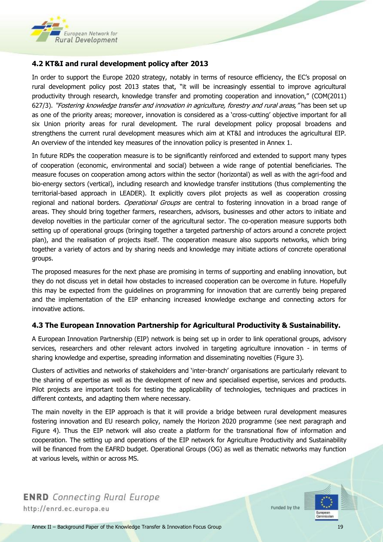

#### **4.2 KT&I and rural development policy after 2013**

In order to support the Europe 2020 strategy, notably in terms of resource efficiency, the EC's proposal on rural development policy post 2013 states that, "it will be increasingly essential to improve agricultural productivity through research, knowledge transfer and promoting cooperation and innovation," (COM(2011) 627/3). "Fostering knowledge transfer and innovation in agriculture, forestry and rural areas," has been set up as one of the priority areas; moreover, innovation is considered as a 'cross-cutting' objective important for all six Union priority areas for rural development. The rural development policy proposal broadens and strengthens the current rural development measures which aim at KT&I and introduces the agricultural EIP. An overview of the intended key measures of the innovation policy is presented in Annex 1.

In future RDPs the cooperation measure is to be significantly reinforced and extended to support many types of cooperation (economic, environmental and social) between a wide range of potential beneficiaries. The measure focuses on cooperation among actors within the sector (horizontal) as well as with the agri-food and bio-energy sectors (vertical), including research and knowledge transfer institutions (thus complementing the territorial-based approach in LEADER). It explicitly covers pilot projects as well as cooperation crossing regional and national borders. *Operational Groups* are central to fostering innovation in a broad range of areas. They should bring together farmers, researchers, advisors, businesses and other actors to initiate and develop novelties in the particular corner of the agricultural sector. The co-operation measure supports both setting up of operational groups (bringing together a targeted partnership of actors around a concrete project plan), and the realisation of projects itself. The cooperation measure also supports networks, which bring together a variety of actors and by sharing needs and knowledge may initiate actions of concrete operational groups.

The proposed measures for the next phase are promising in terms of supporting and enabling innovation, but they do not discuss yet in detail how obstacles to increased cooperation can be overcome in future. Hopefully this may be expected from the guidelines on programming for innovation that are currently being prepared and the implementation of the EIP enhancing increased knowledge exchange and connecting actors for innovative actions.

#### **4.3 The European Innovation Partnership for Agricultural Productivity & Sustainability.**

A European Innovation Partnership (EIP) network is being set up in order to link operational groups, advisory services, researchers and other relevant actors involved in targeting agriculture innovation - in terms of sharing knowledge and expertise, spreading information and disseminating novelties (Figure 3).

Clusters of activities and networks of stakeholders and 'inter-branch' organisations are particularly relevant to the sharing of expertise as well as the development of new and specialised expertise, services and products. Pilot projects are important tools for testing the applicability of technologies, techniques and practices in different contexts, and adapting them where necessary.

The main novelty in the EIP approach is that it will provide a bridge between rural development measures fostering innovation and EU research policy, namely the Horizon 2020 programme (see next paragraph and Figure 4). Thus the EIP network will also create a platform for the transnational flow of information and cooperation. The setting up and operations of the EIP network for Agriculture Productivity and Sustainability will be financed from the EAFRD budget. Operational Groups (OG) as well as thematic networks may function at various levels, within or across MS.

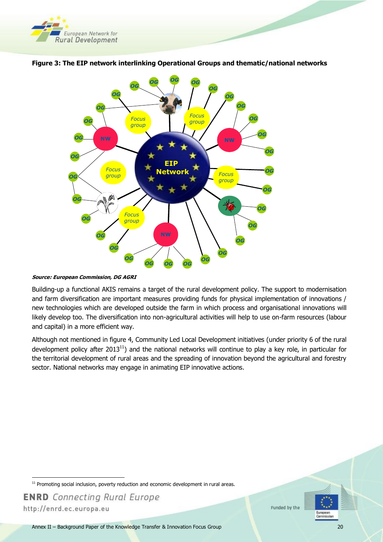



#### <span id="page-19-0"></span>**Figure 3: The EIP network interlinking Operational Groups and thematic/national networks**

**Source: European Commission, DG AGRI**

<span id="page-19-1"></span>Building-up a functional AKIS remains a target of the rural development policy. The support to modernisation and farm diversification are important measures providing funds for physical implementation of innovations / new technologies which are developed outside the farm in which process and organisational innovations will likely develop too. The diversification into non-agricultural activities will help to use on-farm resources (labour and capital) in a more efficient way.

Although not mentioned in figure 4, Community Led Local Development initiatives (under priority 6 of the rural development policy after 2013<sup>11</sup>) and the national networks will continue to play a key role, in particular for the territorial development of rural areas and the spreading of innovation beyond the agricultural and forestry sector. National networks may engage in animating EIP innovative actions.



 $\overline{a}$  $11$  Promoting social inclusion, poverty reduction and economic development in rural areas.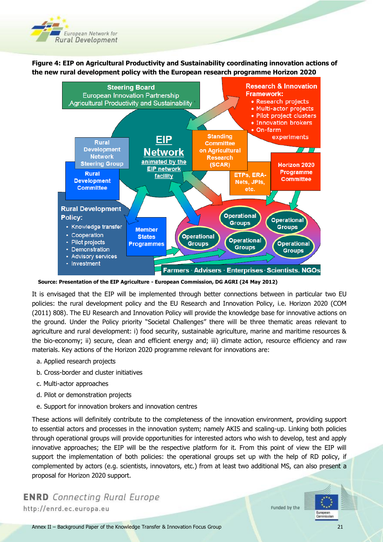

**Figure 4: EIP on Agricultural Productivity and Sustainability coordinating innovation actions of the new rural development policy with the European research programme Horizon 2020**



 **Source: Presentation of the EIP Agriculture - European Commission, DG AGRI (24 May 2012)**

It is envisaged that the EIP will be implemented through better connections between in particular two EU policies: the rural development policy and the EU Research and Innovation Policy, i.e. Horizon 2020 (COM (2011) 808). The EU Research and Innovation Policy will provide the knowledge base for innovative actions on the ground. Under the Policy priority "Societal Challenges" there will be three thematic areas relevant to agriculture and rural development: i) food security, sustainable agriculture, marine and maritime resources & the bio-economy; ii) secure, clean and efficient energy and; iii) climate action, resource efficiency and raw materials. Key actions of the Horizon 2020 programme relevant for innovations are:

- a. Applied research projects
- b. Cross-border and cluster initiatives
- c. Multi-actor approaches
- d. Pilot or demonstration projects
- e. Support for innovation brokers and innovation centres

These actions will definitely contribute to the completeness of the innovation environment, providing support to essential actors and processes in the innovation system; namely AKIS and scaling-up. Linking both policies through operational groups will provide opportunities for interested actors who wish to develop, test and apply innovative approaches; the EIP will be the respective platform for it. From this point of view the EIP will support the implementation of both policies: the operational groups set up with the help of RD policy, if complemented by actors (e.g. scientists, innovators, etc.) from at least two additional MS, can also present a proposal for Horizon 2020 support.

**ENRD** Connecting Rural Europe http://enrd.ec.europa.eu

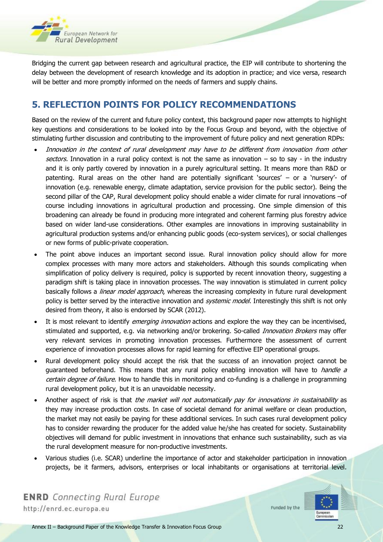

Bridging the current gap between research and agricultural practice, the EIP will contribute to shortening the delay between the development of research knowledge and its adoption in practice; and vice versa, research will be better and more promptly informed on the needs of farmers and supply chains.

# **5. REFLECTION POINTS FOR POLICY RECOMMENDATIONS**

Based on the review of the current and future policy context, this background paper now attempts to highlight key questions and considerations to be looked into by the Focus Group and beyond, with the objective of stimulating further discussion and contributing to the improvement of future policy and next generation RDPs:

- Innovation in the context of rural development may have to be different from innovation from other sectors. Innovation in a rural policy context is not the same as innovation  $-$  so to say - in the industry and it is only partly covered by innovation in a purely agricultural setting. It means more than R&D or patenting. Rural areas on the other hand are potentially significant 'sources' – or a 'nursery'- of innovation (e.g. renewable energy, climate adaptation, service provision for the public sector). Being the second pillar of the CAP, Rural development policy should enable a wider climate for rural innovations –of course including innovations in agricultural production and processing. One simple dimension of this broadening can already be found in producing more integrated and coherent farming plus forestry advice based on wider land-use considerations. Other examples are innovations in improving sustainability in agricultural production systems and/or enhancing public goods (eco-system services), or social challenges or new forms of public-private cooperation.
- The point above induces an important second issue. Rural innovation policy should allow for more complex processes with many more actors and stakeholders. Although this sounds complicating when simplification of policy delivery is required, policy is supported by recent innovation theory, suggesting a paradigm shift is taking place in innovation processes. The way innovation is stimulated in current policy basically follows a *linear model approach*, whereas the increasing complexity in future rural development policy is better served by the interactive innovation and *systemic model*. Interestingly this shift is not only desired from theory, it also is endorsed by SCAR (2012).
- It is most relevant to identify *emerging innovation* actions and explore the way they can be incentivised, stimulated and supported, e.g. via networking and/or brokering. So-called *Innovation Brokers* may offer very relevant services in promoting innovation processes. Furthermore the assessment of current experience of innovation processes allows for rapid learning for effective EIP operational groups.
- Rural development policy should accept the risk that the success of an innovation project cannot be guaranteed beforehand. This means that any rural policy enabling innovation will have to *handle a* certain degree of failure. How to handle this in monitoring and co-funding is a challenge in programming rural development policy, but it is an unavoidable necessity.
- Another aspect of risk is that the market will not automatically pay for innovations in sustainability as they may increase production costs. In case of societal demand for animal welfare or clean production, the market may not easily be paying for these additional services. In such cases rural development policy has to consider rewarding the producer for the added value he/she has created for society. Sustainability objectives will demand for public investment in innovations that enhance such sustainability, such as via the rural development measure for non-productive investments.
- Various studies (i.e. SCAR) underline the importance of actor and stakeholder participation in innovation projects, be it farmers, advisors, enterprises or local inhabitants or organisations at territorial level.



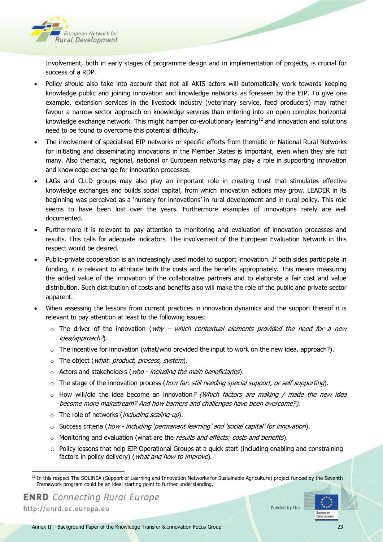

Involvement, both in early stages of programme design and in implementation of projects, is crucial for success of a RDP.

- Policy should also take into account that not all AKIS actors will automatically work towards keeping knowledge public and joining innovation and knowledge networks as foreseen by the EIP. To give one example, extension services in the livestock industry (veterinary service, feed producers) may rather favour a narrow sector approach on knowledge services than entering into an open complex horizontal knowledge exchange network. This might hamper co-evolutionary learning<sup>12</sup> and innovation and solutions need to be found to overcome this potential difficulty.
- The involvement of specialised EIP networks or specific efforts from thematic or National Rural Networks for initiating and disseminating innovations in the Member States is important, even when they are not many. Also thematic, regional, national or European networks may play a role in supporting innovation and knowledge exchange for innovation processes.
- LAGs and CLLD groups may also play an important role in creating trust that stimulates effective knowledge exchanges and builds social capital, from which innovation actions may grow. LEADER in its beginning was perceived as a 'nursery for innovations' in rural development and in rural policy. This role seems to have been lost over the years. Furthermore examples of innovations rarely are well documented.
- Furthermore it is relevant to pay attention to monitoring and evaluation of innovation processes and results. This calls for adequate indicators. The involvement of the European Evaluation Network in this respect would be desired.
- Public-private cooperation is an increasingly used model to support innovation. If both sides participate in funding, it is relevant to attribute both the costs and the benefits appropriately. This means measuring the added value of the innovation of the collaborative partners and to elaborate a fair cost and value distribution. Such distribution of costs and benefits also will make the role of the public and private sector apparent.
- When assessing the lessons from current practices in innovation dynamics and the support thereof it is relevant to pay attention at least to the following issues:
	- $\circ$  The driver of the innovation (why which contextual elements provided the need for a new idea/approach?).
	- o The incentive for innovation (what/who provided the input to work on the new idea, approach?).
	- o The object (what: product, process, system).
	- $\circ$  Actors and stakeholders (*who including the main beneficiaries*).
	- o The stage of the innovation process (how far. still needing special support, or self-supporting).
	- $\circ$  How will/did the idea become an innovation? (Which factors are making / made the new idea become more mainstream? And how barriers and challenges have been overcome?).
	- $\circ$  The role of networks (*including scaling-up*).
	- $\circ$  Success criteria (how including 'permanent learning' and 'social capital' for innovation).
	- $\circ$  Monitoring and evaluation (what are the *results and effects; costs and benefits*).
	- $\circ$  Policy lessons that help EIP Operational Groups at a quick start (including enabling and constraining factors in policy delivery) (*what and how to improve*).

http://enrd.ec.europa.eu

 $\ddot{\phantom{a}}$ 



<sup>&</sup>lt;sup>12</sup> In this respect The SOLINSA (Support of Learning and Innovation Networks for Sustainable Agriculture) project funded by the Seventh Framework program could be an ideal starting point to further understanding.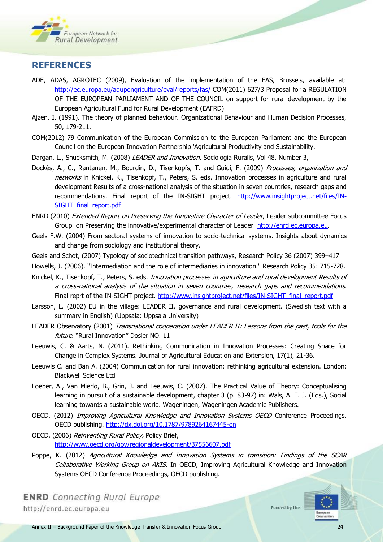

### **REFERENCES**

- ADE, ADAS, AGROTEC (2009), Evaluation of the implementation of the FAS, Brussels, available at: <http://ec.europa.eu/adupongriculture/eval/reports/fas/> COM(2011) 627/3 Proposal for a REGULATION OF THE EUROPEAN PARLIAMENT AND OF THE COUNCIL on support for rural development by the European Agricultural Fund for Rural Development (EAFRD)
- Ajzen, I. (1991). The theory of planned behaviour. Organizational Behaviour and Human Decision Processes, 50, 179-211.
- COM(2012) 79 Communication of the European Commission to the European Parliament and the European Council on the European Innovation Partnership 'Agricultural Productivity and Sustainability.
- Dargan, L., Shucksmith, M. (2008) LEADER and Innovation. Sociologia Ruralis, Vol 48, Number 3,
- Dockès, A., C., Rantanen, M., Bourdin, D., Tisenkopfs, T. and Guidi, F. (2009) Processes, organization and networks in Knickel, K., Tisenkopf, T., Peters, S. eds. Innovation processes in agriculture and rural development Results of a cross-national analysis of the situation in seven countries, research gaps and recommendations. Final report of the IN-SIGHT project. [http://www.insightproject.net/files/IN-](http://www.insightproject.net/files/IN-SIGHT_final_report.pdf)[SIGHT\\_final\\_report.pdf](http://www.insightproject.net/files/IN-SIGHT_final_report.pdf)
- ENRD (2010) Extended Report on Preserving the Innovative Character of Leader, Leader subcommittee Focus Group on Preserving the innovative/experimental character of Leader [http://enrd.ec.europa.eu.](http://enrd.ec.europa.eu/)
- Geels F.W. (2004) From sectoral systems of innovation to socio-technical systems. Insights about dynamics and change from sociology and institutional theory.
- Geels and Schot, (2007) Typology of sociotechnical transition pathways, Research Policy 36 (2007) 399–417
- Howells, J. (2006). "Intermediation and the role of intermediaries in innovation." Research Policy 35: 715-728.
- Knickel, K., Tisenkopf, T., Peters, S. eds. *Innovation processes in agriculture and rural development Results of* a cross-national analysis of the situation in seven countries, research gaps and recommendations. Final reprt of the IN-SIGHT project. [http://www.insightproject.net/files/IN-SIGHT\\_final\\_report.pdf](http://www.insightproject.net/files/IN-SIGHT_final_report.pdf)
- Larsson, L. (2002) EU in the village: LEADER II, governance and rural development. (Swedish text with a summary in English) (Uppsala: Uppsala University)
- LEADER Observatory (2001) Transnational cooperation under LEADER II: Lessons from the past, tools for the future. "Rural Innovation" Dosier NO. 11
- Leeuwis, C. & Aarts, N. (2011). Rethinking Communication in Innovation Processes: Creating Space for Change in Complex Systems. Journal of Agricultural Education and Extension, 17(1), 21-36.
- Leeuwis C. and Ban A. (2004) Communication for rural innovation: rethinking agricultural extension. London: Blackwell Science Ltd
- Loeber, A., Van Mierlo, B., Grin, J. and Leeuwis, C. (2007). The Practical Value of Theory: Conceptualising learning in pursuit of a sustainable development, chapter 3 (p. 83-97) in: Wals, A. E. J. (Eds.), Social learning towards a sustainable world. Wageningen, Wageningen Academic Publishers.
- OECD, (2012) Improving Agricultural Knowledge and Innovation Systems OECD Conference Proceedings, OECD publishing.<http://dx.doi.org/10.1787/9789264167445-en>
- OECD, (2006) Reinventing Rural Policy, Policy Brief, <http://www.oecd.org/gov/regionaldevelopment/37556607.pdf>
- Poppe, K. (2012) Agricultural Knowledge and Innovation Systems in transition: Findings of the SCAR Collaborative Working Group on AKIS. In OECD, Improving Agricultural Knowledge and Innovation Systems OECD Conference Proceedings, OECD publishing.

**ENRD** Connecting Rural Europe http://enrd.ec.europa.eu

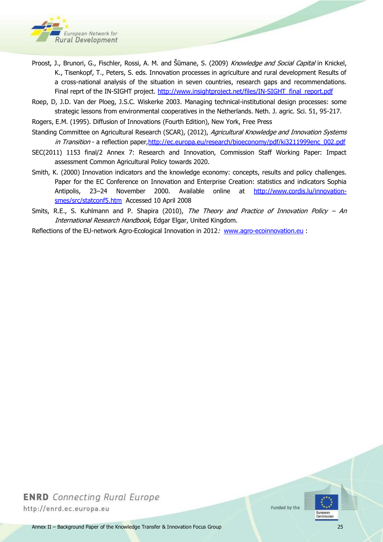

- Proost, J., Brunori, G., Fischler, Rossi, A. M. and Šūmane, S. (2009) *Knowledge and Social Capital* in Knickel, K., Tisenkopf, T., Peters, S. eds. Innovation processes in agriculture and rural development Results of a cross-national analysis of the situation in seven countries, research gaps and recommendations. Final reprt of the IN-SIGHT project. [http://www.insightproject.net/files/IN-SIGHT\\_final\\_report.pdf](http://www.insightproject.net/files/IN-SIGHT_final_report.pdf)
- Roep, D, J.D. Van der Ploeg, J.S.C. Wiskerke 2003. Managing technical-institutional design processes: some strategic lessons from environmental cooperatives in the Netherlands. Neth. J. agric. Sci. 51, 95-217.
- Rogers, E.M. (1995). Diffusion of Innovations (Fourth Edition), New York, Free Press
- Standing Committee on Agricultural Research (SCAR), (2012), Agricultural Knowledge and Innovation Systems in Transition - a reflection paper, http://ec.europa.eu/research/bioeconomy/pdf/ki3211999enc\_002.pdf
- SEC(2011) 1153 final/2 Annex 7: Research and Innovation, Commission Staff Working Paper: Impact assessment Common Agricultural Policy towards 2020.
- Smith, K. (2000) Innovation indicators and the knowledge economy: concepts, results and policy challenges. Paper for the EC Conference on Innovation and Enterprise Creation: statistics and indicators Sophia Antipolis, 23–24 November 2000. Available online at [http://www.cordis.lu/innovation](http://www.cordis.lu/innovation-smes/src/statconf5.htm)[smes/src/statconf5.htm](http://www.cordis.lu/innovation-smes/src/statconf5.htm) Accessed 10 April 2008
- Smits, R.E., S. Kuhlmann and P. Shapira (2010), The Theory and Practice of Innovation Policy An International Research Handbook, Edgar Elgar, United Kingdom.
- Reflections of the EU-network Agro-Ecological Innovation in 2012: [www.agro-ecoinnovation.eu](http://www.agro-ecoinnovation.eu/) :

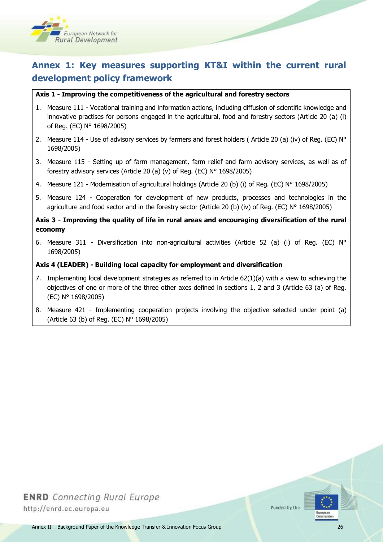

# **Annex 1: Key measures supporting KT&I within the current rural development policy framework**

#### **Axis 1 - Improving the competitiveness of the agricultural and forestry sectors**

- 1. Measure 111 Vocational training and information actions, including diffusion of scientific knowledge and innovative practises for persons engaged in the agricultural, food and forestry sectors (Article 20 (a) (i) of Reg. (EC) N° 1698/2005)
- 2. Measure 114 Use of advisory services by farmers and forest holders (Article 20 (a) (iv) of Reg. (EC)  $N^{\circ}$ 1698/2005)
- 3. Measure 115 Setting up of farm management, farm relief and farm advisory services, as well as of forestry advisory services (Article 20 (a) (v) of Reg. (EC) N° 1698/2005)
- 4. Measure 121 Modernisation of agricultural holdings (Article 20 (b) (i) of Reg. (EC) N° 1698/2005)
- 5. Measure 124 Cooperation for development of new products, processes and technologies in the agriculture and food sector and in the forestry sector (Article 20 (b) (iv) of Reg. (EC) N° 1698/2005)

#### **Axis 3 - Improving the quality of life in rural areas and encouraging diversification of the rural economy**

6. Measure 311 - Diversification into non-agricultural activities (Article 52 (a) (i) of Reg. (EC) N° 1698/2005)

#### **Axis 4 (LEADER) - Building local capacity for employment and diversification**

- 7. Implementing local development strategies as referred to in Article 62(1)(a) with a view to achieving the objectives of one or more of the three other axes defined in sections 1, 2 and 3 (Article 63 (a) of Reg. (EC) N° 1698/2005)
- 8. Measure 421 Implementing cooperation projects involving the objective selected under point (a) (Article 63 (b) of Reg. (EC) N° 1698/2005)

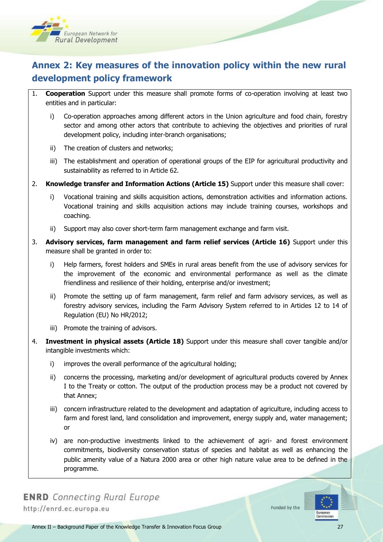

# **Annex 2: Key measures of the innovation policy within the new rural development policy framework**

- 1. **Cooperation** Support under this measure shall promote forms of co-operation involving at least two entities and in particular:
	- i) Co-operation approaches among different actors in the Union agriculture and food chain, forestry sector and among other actors that contribute to achieving the objectives and priorities of rural development policy, including inter-branch organisations;
	- ii) The creation of clusters and networks;
	- iii) The establishment and operation of operational groups of the EIP for agricultural productivity and sustainability as referred to in Article 62.
- 2. **Knowledge transfer and Information Actions (Article 15)** Support under this measure shall cover:
	- i) Vocational training and skills acquisition actions, demonstration activities and information actions. Vocational training and skills acquisition actions may include training courses, workshops and coaching.
	- ii) Support may also cover short-term farm management exchange and farm visit.
- 3. **Advisory services, farm management and farm relief services (Article 16)** Support under this measure shall be granted in order to:
	- i) Help farmers, forest holders and SMEs in rural areas benefit from the use of advisory services for the improvement of the economic and environmental performance as well as the climate friendliness and resilience of their holding, enterprise and/or investment;
	- ii) Promote the setting up of farm management, farm relief and farm advisory services, as well as forestry advisory services, including the Farm Advisory System referred to in Articles 12 to 14 of Regulation (EU) No HR/2012;
	- iii) Promote the training of advisors.
- 4. **Investment in physical assets (Article 18)** Support under this measure shall cover tangible and/or intangible investments which:
	- i) improves the overall performance of the agricultural holding;
	- ii) concerns the processing, marketing and/or development of agricultural products covered by Annex I to the Treaty or cotton. The output of the production process may be a product not covered by that Annex;
	- iii) concern infrastructure related to the development and adaptation of agriculture, including access to farm and forest land, land consolidation and improvement, energy supply and, water management; or
	- iv) are non-productive investments linked to the achievement of agri- and forest environment commitments, biodiversity conservation status of species and habitat as well as enhancing the public amenity value of a Natura 2000 area or other high nature value area to be defined in the programme.